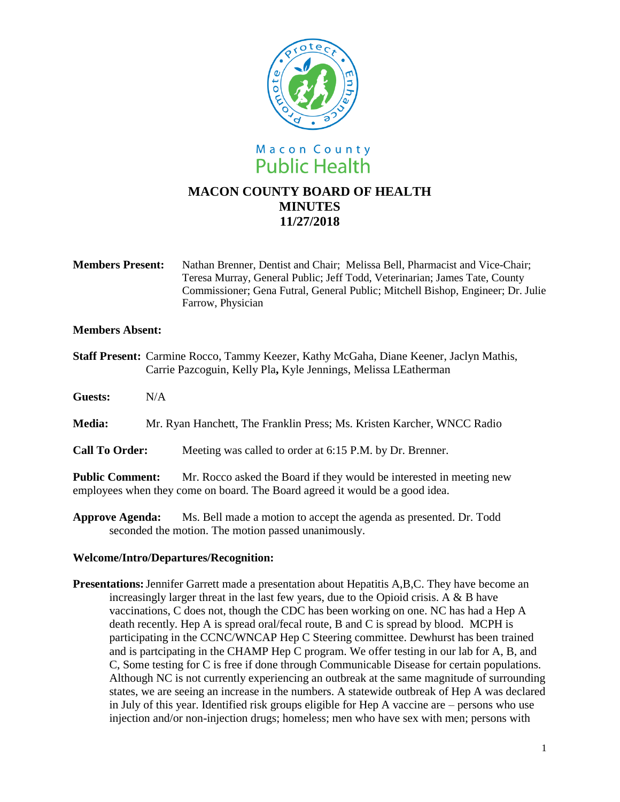

**Members Present:** Nathan Brenner, Dentist and Chair; Melissa Bell, Pharmacist and Vice-Chair; Teresa Murray, General Public; Jeff Todd, Veterinarian; James Tate, County Commissioner; Gena Futral, General Public; Mitchell Bishop, Engineer; Dr. Julie Farrow, Physician

## **Members Absent:**

**Staff Present:** Carmine Rocco, Tammy Keezer, Kathy McGaha, Diane Keener, Jaclyn Mathis, Carrie Pazcoguin, Kelly Pla**,** Kyle Jennings, Melissa LEatherman

**Guests:** N/A

**Media:** Mr. Ryan Hanchett, The Franklin Press; Ms. Kristen Karcher, WNCC Radio

**Call To Order:** Meeting was called to order at 6:15 P.M. by Dr. Brenner.

**Public Comment:** Mr. Rocco asked the Board if they would be interested in meeting new employees when they come on board. The Board agreed it would be a good idea.

**Approve Agenda:** Ms. Bell made a motion to accept the agenda as presented. Dr. Todd seconded the motion. The motion passed unanimously.

## **Welcome/Intro/Departures/Recognition:**

**Presentations:** Jennifer Garrett made a presentation about Hepatitis A,B,C. They have become an increasingly larger threat in the last few years, due to the Opioid crisis. A  $\&$  B have vaccinations, C does not, though the CDC has been working on one. NC has had a Hep A death recently. Hep A is spread oral/fecal route, B and C is spread by blood. MCPH is participating in the CCNC/WNCAP Hep C Steering committee. Dewhurst has been trained and is partcipating in the CHAMP Hep C program. We offer testing in our lab for A, B, and C, Some testing for C is free if done through Communicable Disease for certain populations. Although NC is not currently experiencing an outbreak at the same magnitude of surrounding states, we are seeing an increase in the numbers. A statewide outbreak of Hep A was declared in July of this year. Identified risk groups eligible for Hep A vaccine are – persons who use injection and/or non-injection drugs; homeless; men who have sex with men; persons with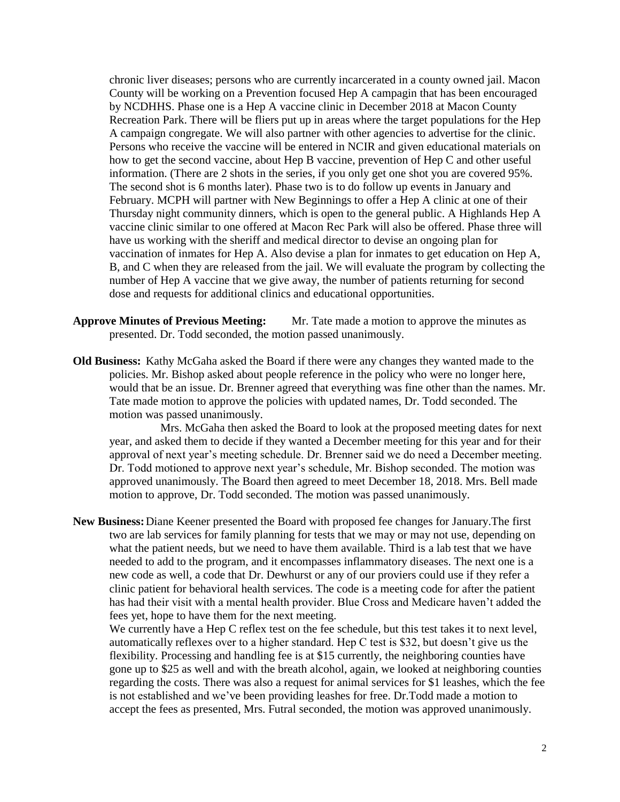chronic liver diseases; persons who are currently incarcerated in a county owned jail. Macon County will be working on a Prevention focused Hep A campagin that has been encouraged by NCDHHS. Phase one is a Hep A vaccine clinic in December 2018 at Macon County Recreation Park. There will be fliers put up in areas where the target populations for the Hep A campaign congregate. We will also partner with other agencies to advertise for the clinic. Persons who receive the vaccine will be entered in NCIR and given educational materials on how to get the second vaccine, about Hep B vaccine, prevention of Hep C and other useful information. (There are 2 shots in the series, if you only get one shot you are covered 95%. The second shot is 6 months later). Phase two is to do follow up events in January and February. MCPH will partner with New Beginnings to offer a Hep A clinic at one of their Thursday night community dinners, which is open to the general public. A Highlands Hep A vaccine clinic similar to one offered at Macon Rec Park will also be offered. Phase three will have us working with the sheriff and medical director to devise an ongoing plan for vaccination of inmates for Hep A. Also devise a plan for inmates to get education on Hep A, B, and C when they are released from the jail. We will evaluate the program by collecting the number of Hep A vaccine that we give away, the number of patients returning for second dose and requests for additional clinics and educational opportunities.

- **Approve Minutes of Previous Meeting:** Mr. Tate made a motion to approve the minutes as presented. Dr. Todd seconded, the motion passed unanimously.
- **Old Business:** Kathy McGaha asked the Board if there were any changes they wanted made to the policies. Mr. Bishop asked about people reference in the policy who were no longer here, would that be an issue. Dr. Brenner agreed that everything was fine other than the names. Mr. Tate made motion to approve the policies with updated names, Dr. Todd seconded. The motion was passed unanimously.

Mrs. McGaha then asked the Board to look at the proposed meeting dates for next year, and asked them to decide if they wanted a December meeting for this year and for their approval of next year's meeting schedule. Dr. Brenner said we do need a December meeting. Dr. Todd motioned to approve next year's schedule, Mr. Bishop seconded. The motion was approved unanimously. The Board then agreed to meet December 18, 2018. Mrs. Bell made motion to approve, Dr. Todd seconded. The motion was passed unanimously.

**New Business:**Diane Keener presented the Board with proposed fee changes for January.The first two are lab services for family planning for tests that we may or may not use, depending on what the patient needs, but we need to have them available. Third is a lab test that we have needed to add to the program, and it encompasses inflammatory diseases. The next one is a new code as well, a code that Dr. Dewhurst or any of our proviers could use if they refer a clinic patient for behavioral health services. The code is a meeting code for after the patient has had their visit with a mental health provider. Blue Cross and Medicare haven't added the fees yet, hope to have them for the next meeting.

We currently have a Hep C reflex test on the fee schedule, but this test takes it to next level, automatically reflexes over to a higher standard. Hep C test is \$32, but doesn't give us the flexibility. Processing and handling fee is at \$15 currently, the neighboring counties have gone up to \$25 as well and with the breath alcohol, again, we looked at neighboring counties regarding the costs. There was also a request for animal services for \$1 leashes, which the fee is not established and we've been providing leashes for free. Dr.Todd made a motion to accept the fees as presented, Mrs. Futral seconded, the motion was approved unanimously.